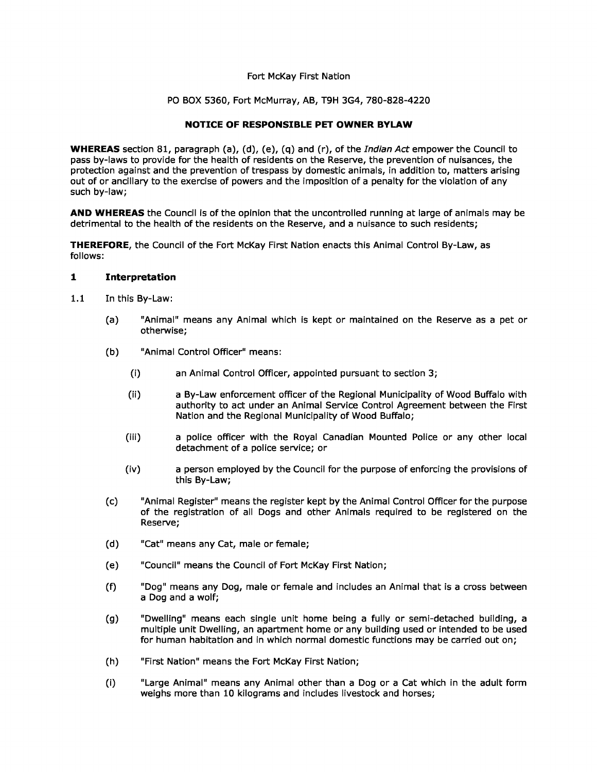## Fort McKay First Nation

### PO BOX 5360, Fort McMurray, AB, T9H 3G4, 780-828-4220

# **NOTICE OF RESPONSIBLE PET OWNER BYLAW**

**WHEREAS** section 81, paragraph (a), (d), (e), (q) and (r), of the Indian Act empower the Council to pass by-laws to provide for the health of residents on the Reserve, the prevention of nuisances, the protection against and the prevention of trespass by domestic animals, in addition to, matters arising out of or ancillary to the exercise of powers and the imposition of a penalty for the violation of any such by-law;

**AND WHEREAS** the Council is of the opinion that the uncontrolled running at large of animals may be detrimental to the health of the residents on the Reserve, and a nuisance to such residents;

**THEREFORE,** the Council of the Fort McKay First Nation enacts this Animal Control By-Law, as follows:

### **1 Interpretation**

- 1.1 In this By-Law:
	- (a) "Animal" means any Animal which is kept or maintained on the Reserve as a pet or otherwise;
	- (b) "Animal Control Officer" means:
		- (i) an Animal Control Officer, appointed pursuant to section 3;
		- (ii) a By-Law enforcement officer of the Regional Municipality of Wood Buffalo with authority to act under an Animal Service Control Agreement between the First Nation and the Regional Municipality of Wood Buffalo;
		- (iii) a police officer with the Royal Canadian Mounted Police or any other local detachment of a police service; or
		- (iv) a person employed by the Council for the purpose of enforcing the provisions of this By-Law;
	- (c) "Animal Register" means the register kept by the Animal Control Officer for the purpose of the registration of all Dogs and other Animals required to be registered on the Reserve;
	- (d) "Cat" means any Cat, male or female;
	- (e) "Council" means the Council of Fort McKay First Nation;
	- (f) "Dog" means any Dog, male or female and includes an Animal that is a cross between a Dog and a wolf;
	- (g) "Dwelling" means each single unit home being a fully or semi-detached building, a multiple unit Dwelling, an apartment home or any building used or intended to be used for human habitation and in which normal domestic functions may be carried out on;
	- (h) "First Nation" means the Fort McKay First Nation;
	- (i) "Large Animal" means any Animal other than a Dog or a Cat which in the adult form weighs more than 10 kilograms and includes livestock and horses;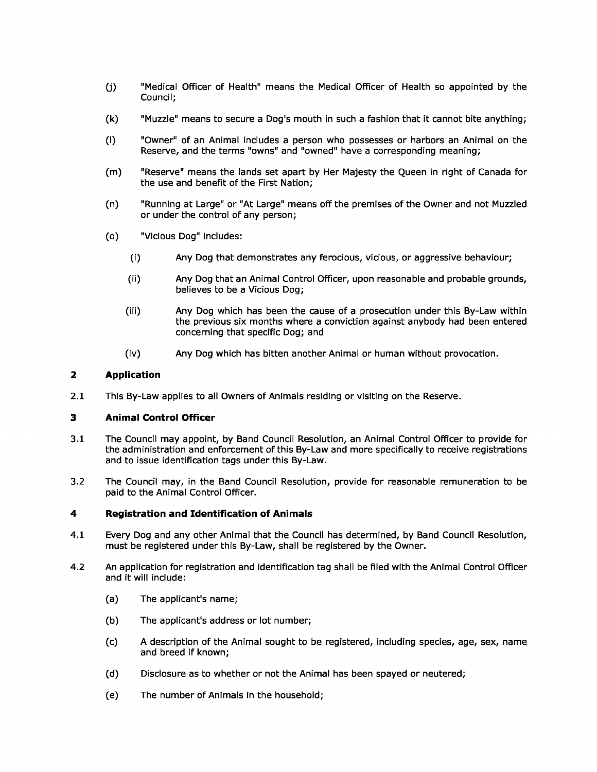- (j) "Medical Officer of Health" means the Medical Officer of Health so appointed by the Council;
- (k) "Muzzle" means to secure a Dog's mouth in such a fashion that it cannot bite anything;
- (I) "Owner" of an Animal includes a person who possesses or harbors an Animal on the Reserve, and the terms "owns" and "owned" have a corresponding meaning;
- (m) "Reserve" means the lands set apart by Her Majesty the Queen in right of Canada for the use and benefit of the First Nation;
- (n) "Running at Large" or "At Large" means off the premises of the Owner and not Muzzled or under the control of any person;
- (o) "Vicious Dog" includes:
	- (i) Any Dog that demonstrates any ferocious, vicious, or aggressive behaviour;
	- (ii) Any Dog that an Animal Control Officer, upon reasonable and probable grounds, believes to be a Vicious Dog;
	- (iii) Any Dog which has been the cause of a prosecution under this By-Law within the previous six months where a conviction against anybody had been entered concerning that specific Dog; and
	- (iv) Any Dog which has bitten another Animal or human without provocation.

### **2 Application**

2.1 This By-Law applies to all Owners of Animals residing or visiting on the Reserve.

### **3 Animal Control Officer**

- 3.1 The Council may appoint, by Band Council Resolution, an Animal Control Officer to provide for the administration and enforcement of this By-Law and more specifically to receive registrations and to issue identification tags under this By-Law.
- 3.2 The Council may, in the Band Council Resolution, provide for reasonable remuneration to be paid to the Animal Control Officer.

## **4 Registration and Identification of Animals**

- 4.1 Every Dog and any other Animal that the Council has determined, by Band Council Resolution, must be registered under this By-Law, shall be registered by the Owner.
- 4.2 An application for registration and identification tag shall be filed with the Animal Control Officer and it will include:
	- (a) The applicant's name;
	- (b) The applicant's address or lot number;
	- (c) A description of the Animal sought to be registered, including species, age, sex, name and breed if known;
	- (d) Disclosure as to whether or not the Animal has been spayed or neutered;
	- (e) The number of Animals in the household;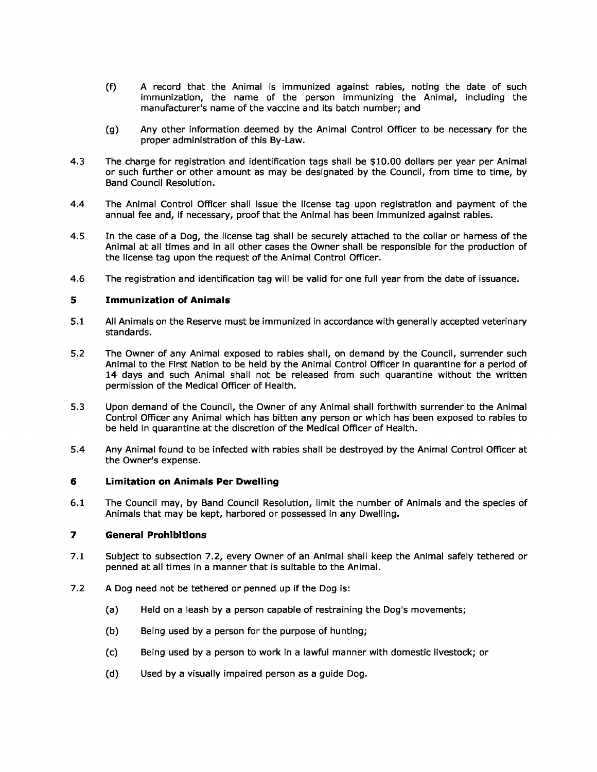- (f) A record that the Animal is immunized against rabies, noting the date of such immunization, the name of the person immunizing the Animal, including the manufacturer's name of the vaccine and its batch number; and
- (g) Any other information deemed by the Animal Control Officer to be necessary for the proper administration of this By-Law.
- 4.3 The charge for registration and identification tags shall be \$10.00 dollars per year per Animal or such further or other amount as may be designated by the Council, from time to time, by Band Council Resolution.
- 4.4 The Animal Control Officer shall issue the license tag upon registration and payment of the annual fee and, if necessary, proof that the Animal has been immunized against rabies.
- 4.5 In the case of a Dog, the license tag shall be securely attached to the collar or harness of the Animal at all times and in all other cases the Owner shall be responsible for the production of the license tag upon the request of the Animal Control Officer.
- 4.6 The registration and identification tag will be valid for one full year from the date of issuance.

## **5 Immunization of Animals**

- 5.1 All Animals on the Reserve must be immunized in accordance with generally accepted veterinary standards.
- 5.2 The Owner of any Animal exposed to rabies shall, on demand by the Council, surrender such Animal to the First Nation to be held by the Animal Control Officer in quarantine for a period of 14 days and such Animal shall not be released from such quarantine without the written permission of the Medical Officer of Health.
- 5.3 Upon demand of the Council, the Owner of any Animal shall forthwith surrender to the Animal Control Officer any Animal which has bitten any person or which has been exposed to rabies to be held in quarantine at the discretion of the Medical Officer of Health.
- 5.4 Any Animal found to be infected with rabies shall be destroyed by the Animal Control Officer at the Owner's expense.

### **6 Limitation on Animals Per Dwelling**

6.1 The Council may, by Band Council Resolution, limit the number of Animals and the species of Animals that may be kept, harbored or possessed in any Dwelling.

### **7 General Prohibitions**

- 7.1 Subject to subsection 7.2, every Owner of an Animal shall keep the Animal safely tethered or penned at all times in a manner that is suitable to the Animal.
- 7.2 A Dog need not be tethered or penned up if the Dog is:
	- (a) Held on a leash by a person capable of restraining the Dog's movements;
	- (b) Being used by a person for the purpose of hunting;
	- (c) Being used by a person to work in a lawful manner with domestic livestock; or
	- (d) Used by a visually impaired person as a guide Dog.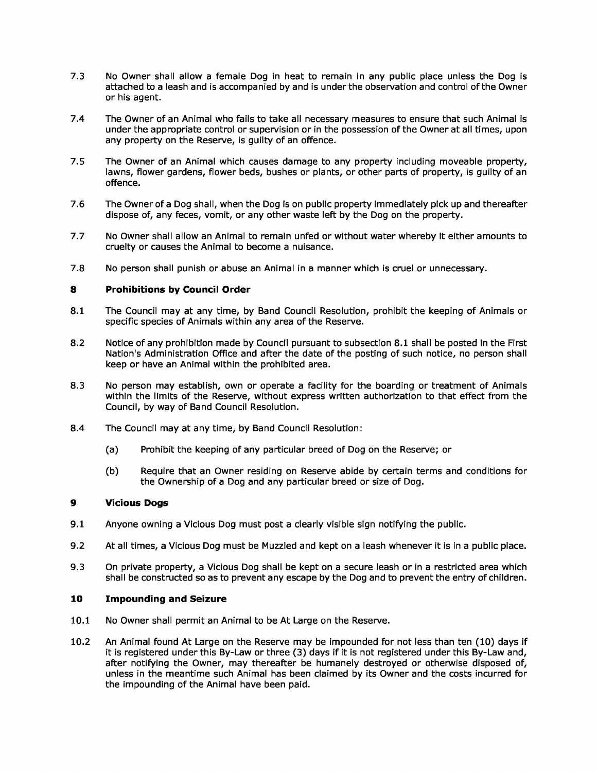- 7.3 No Owner shall allow a female Dog in heat to remain in any public place unless the Dog is attached to a leash and is accompanied by and is under the observation and control of the Owner or his agent.
- 7.4 The Owner of an Animal who fails to take all necessary measures to ensure that such Animal is under the appropriate control or supervision or in the possession of the Owner at all times, upon any property on the Reserve, is guilty of an offence.
- 7.5 The Owner of an Animal which causes damage to any property including moveable property, lawns, flower gardens, flower beds, bushes or plants, or other parts of property, is guilty of an offence.
- 7.6 The Owner of a Dog shall, when the Dog is on public property immediately pick up and thereafter dispose of, any feces, vomit, or any other waste left by the Dog on the property.
- 7.7 No Owner shall allow an Animal to remain unfed or without water whereby it either amounts to cruelty or causes the Animal to become a nuisance.
- 7.8 No person shall punish or abuse an Animal in a manner which is cruel or unnecessary.

## **8 Prohibitions by Council Order**

- 8.1 The Council may at any time, by Band Council Resolution, prohibit the keeping of Animals or specific species of Animals within any area of the Reserve.
- 8.2 Notice of any prohibition made by Council pursuant to subsection 8.1 shall be posted in the First Nation's Administration Office and after the date of the posting of such notice, no person shall keep or have an Animal within the prohibited area.
- 8.3 No person may establish, own or operate a facility for the boarding or treatment of Animals within the limits of the Reserve, without express written authorization to that effect from the Council, by way of Band Council Resolution.
- 8.4 The Council may at any time, by Band Council Resolution:
	- (a) Prohibit the keeping of any particular breed of Dog on the Reserve; or
	- (b) Require that an Owner residing on Reserve abide by certain terms and conditions for the Ownership of a Dog and any particular breed or size of Dog.

## **9 Vicious Dogs**

- 9.1 Anyone owning a Vicious Dog must post a clearly visible sign notifying the public.
- 9.2 At all times, a Vicious Dog must be Muzzled and kept on a leash whenever it is in a public place.
- 9.3 On private property, a Vicious Dog shall be kept on a secure leash or in a restricted area which shall be constructed so as to prevent any escape by the Dog and to prevent the entry of children.

## **10 Impounding and Seizure**

- 10.1 No Owner shall permit an Animal to be At Large on the Reserve.
- 10.2 An Animal found At Large on the Reserve may be impounded for not less than ten (10) days if it is registered under this By-Law or three (3) days if it is not registered under this By-Law and, after notifying the Owner, may thereafter be humanely destroyed or otherwise disposed of, unless in the meantime such Animal has been claimed by its Owner and the costs incurred for the impounding of the Animal have been paid.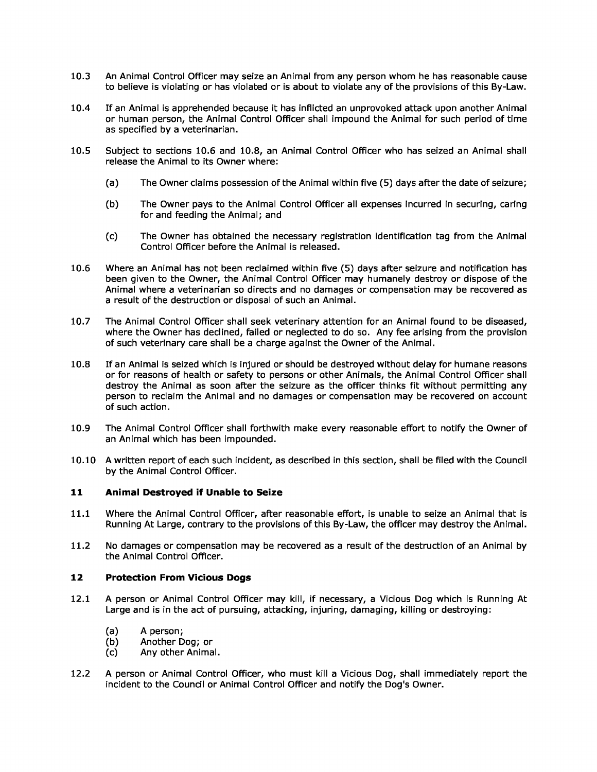- 10.3 An Animal Control Officer may seize an Animal from any person whom he has reasonable cause to believe is violating or has violated or is about to violate any of the provisions of this By-Law.
- 10.4 If an Animal is apprehended because it has inflicted an unprovoked attack upon another Animal or human person, the Animal Control Officer shall impound the Animal for such period of time as specified by a veterinarian.
- 10.5 Subject to sections 10.6 and 10.8, an Animal Control Officer who has seized an Animal shall release the Animal to its Owner where:
	- (a) The Owner claims possession of the Animal within five (5) days after the date of seizure;
	- (b) The Owner pays to the Animal Control Officer all expenses incurred in securing, caring for and feeding the Animal; and
	- (c) The Owner has obtained the necessary registration identification tag from the Animal Control Officer before the Animal is released.
- 10.6 Where an Animal has not been reclaimed within five (5) days after seizure and notification has been given to the Owner, the Animal Control Officer may humanely destroy or dispose of the Animal where a veterinarian so directs and no damages or compensation may be recovered as a result of the destruction or disposal of such an Animal.
- 10.7 The Animal Control Officer shall seek veterinary attention for an Animal found to be diseased, where the Owner has declined, failed or neglected to do so. Any fee arising from the provision of such veterinary care shall be a charge against the Owner of the Animal.
- 10.8 If an Animal is seized which is injured or should be destroyed without delay for humane reasons or for reasons of health or safety to persons or other Animals, the Animal Control Officer shall destroy the Animal as soon after the seizure as the officer thinks fit without permitting any person to reclaim the Animal and no damages or compensation may be recovered on account of such action.
- 10.9 The Animal Control Officer shall forthwith make every reasonable effort to notify the Owner of an Animal which has been impounded.
- 10.10 A written report of each such incident, as described in this section, shall be filed with the Council by the Animal Control Officer.

## **11 Animal Destroyed if Unable to Seize**

- 11.1 Where the Animal Control Officer, after reasonable effort, is unable to seize an Animal that is Running At Large, contrary to the provisions of this By-Law, the officer may destroy the Animal.
- 11.2 No damages or compensation may be recovered as a result of the destruction of an Animal by the Animal Control Officer.

## **12 Protection From Vicious Dogs**

- 12.1 A person or Animal Control Officer may kill, if necessary, a Vicious Dog which is Running At Large and is in the act of pursuing, attacking, injuring, damaging, killing or destroying:
	- (a) A person;
	- (b) Another Dog; or
	- (c) Any other Animal.
- 12.2 A person or Animal Control Officer, who must kill a Vicious Dog, shall immediately report the incident to the Council or Animal Control Officer and notify the Dog's Owner.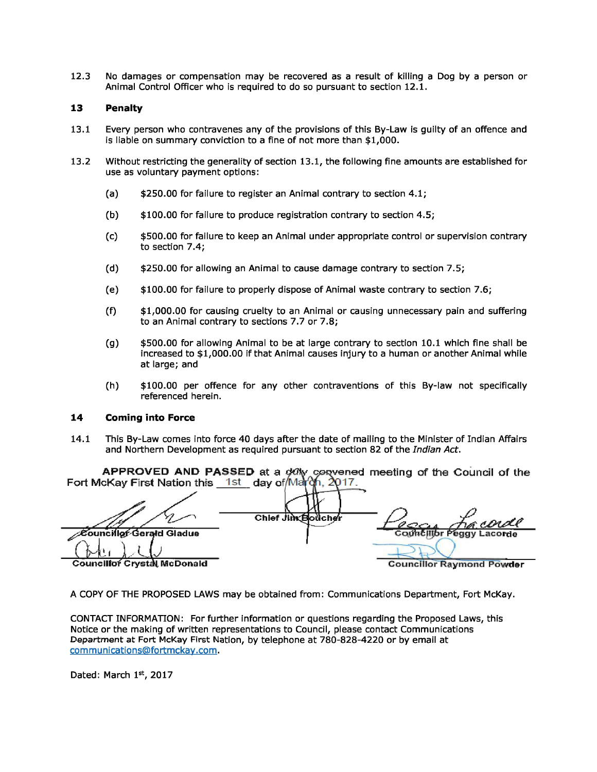12.3 No damages or compensation may be recovered as a result of killing a Dog by a person or Animal Control Officer who is required to do so pursuant to section 12.1.

## **13 Penalty**

- 13.1 Every person who contravenes any of the provisions of this By-Law is guilty of an offence and is liable on summary conviction to a fine of not more than \$1,000.
- 13.2 Without restricting the generality of section 13.1, the following fine amounts are established for use as voluntary payment options:
	- (a) \$250.00 for failure to register an Animal contrary to section 4.1;
	- (b) \$100.00 for failure to produce registration contrary to section 4.5;
	- (c) \$500.00 for failure to keep an Animal under appropriate control or supervision contrary to section 7.4;
	- (d) \$250.00 for allowing an Animal to cause damage contrary to section 7.5;
	- (e) \$100.00 for failure to properly dispose of Animal waste contrary to section 7.6;
	- (f) \$1,000.00 for causing cruelty to an Animal or causing unnecessary pain and suffering to an Animal contrary to sections 7.7 or 7.8;
	- (g) \$500.00 for allowing Animal to be at large contrary to section 10.1 which fine shall be increased to \$1,000.00 if that Animal causes injury to a human or another Animal while at large; and
	- (h) \$100.00 per offence for any other contraventions of this By-law not specifically referenced herein.

### **14 Coming into Force**

14.1 This By-Law comes into force 40 days after the date of mailing to the Minister of Indian Affairs and Northern Development as required pursuant to section 82 of the Indian Act.

| APPROVED AND PASSED at a ddly convened meeting of the Council of the Fort McKay First Nation this 1st day of March, 2017. |                   |                                  |
|---------------------------------------------------------------------------------------------------------------------------|-------------------|----------------------------------|
|                                                                                                                           | Chief Jim Boucher | <u>Compton</u> France            |
| ∕Councillof∕Gerald Gladue                                                                                                 |                   |                                  |
|                                                                                                                           |                   |                                  |
| <b>Councillor Crystal McDonald</b>                                                                                        |                   | <b>Councillor Raymond Powder</b> |

**A COPY OF THE PROPOSED** LAWS may be obtained from: Communications Department, Fort McKay.

CONTACT INFORMATION: For further information or questions regarding the Proposed Laws, this Notice or the making of written representations to Council, please contact Communications Department at Fort McKay First Nation, by telephone at 780-828-4220 or by email at communications@fortmckay.com.

Dated: March 1st, 2017